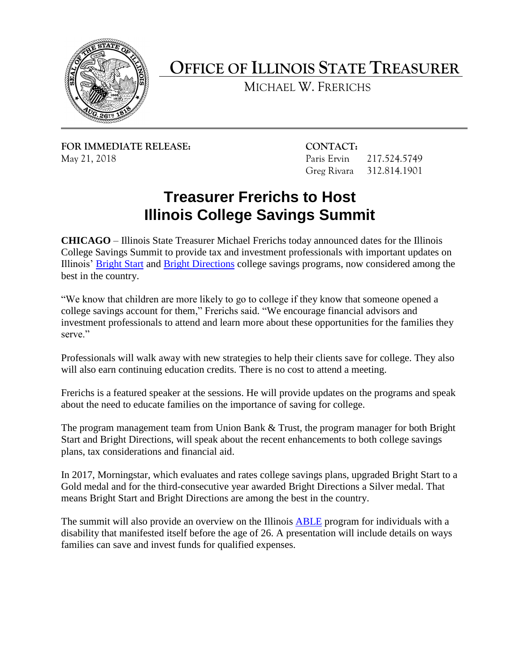

**OFFICE OF ILLINOIS STATE TREASURER** 

MICHAEL W. FRERICHS

**FOR IMMEDIATE RELEASE: CONTACT:** 

217.524.5749 May 21, 2018 **Paris Ervin** 217.524.5749 **Paris Ervin** 217.524.5749

## **Treasurer Frerichs to Host Illinois College Savings Summit**

**CHICAGO** – Illinois State Treasurer Michael Frerichs today announced dates for the Illinois College Savings Summit to provide tax and investment professionals with important updates on Illinois' [Bright Start](https://www.brightstartsavings.com/) and [Bright Directions](https://www.brightdirections.com/) college savings programs, now considered among the best in the country.

"We know that children are more likely to go to college if they know that someone opened a college savings account for them," Frerichs said. "We encourage financial advisors and investment professionals to attend and learn more about these opportunities for the families they serve."

Professionals will walk away with new strategies to help their clients save for college. They also will also earn continuing education credits. There is no cost to attend a meeting.

Frerichs is a featured speaker at the sessions. He will provide updates on the programs and speak about the need to educate families on the importance of saving for college.

The program management team from Union Bank & Trust, the program manager for both Bright Start and Bright Directions, will speak about the recent enhancements to both college savings plans, tax considerations and financial aid.

In 2017, Morningstar, which evaluates and rates college savings plans, upgraded Bright Start to a Gold medal and for the third-consecutive year awarded Bright Directions a Silver medal. That means Bright Start and Bright Directions are among the best in the country.

The summit will also provide an overview on the Illinois **ABLE** program for individuals with a disability that manifested itself before the age of 26. A presentation will include details on ways families can save and invest funds for qualified expenses.